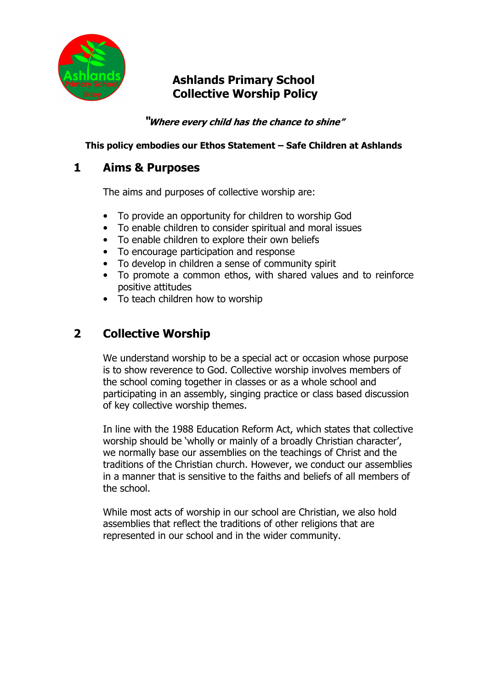

# Ashlands Primary School Collective Worship Policy

"Where every child has the chance to shine"

#### This policy embodies our Ethos Statement – Safe Children at Ashlands

### 1 Aims & Purposes

The aims and purposes of collective worship are:

- To provide an opportunity for children to worship God
- To enable children to consider spiritual and moral issues
- To enable children to explore their own beliefs
- To encourage participation and response
- To develop in children a sense of community spirit
- To promote a common ethos, with shared values and to reinforce positive attitudes
- To teach children how to worship

# 2 Collective Worship

We understand worship to be a special act or occasion whose purpose is to show reverence to God. Collective worship involves members of the school coming together in classes or as a whole school and participating in an assembly, singing practice or class based discussion of key collective worship themes.

In line with the 1988 Education Reform Act, which states that collective worship should be 'wholly or mainly of a broadly Christian character', we normally base our assemblies on the teachings of Christ and the traditions of the Christian church. However, we conduct our assemblies in a manner that is sensitive to the faiths and beliefs of all members of the school.

While most acts of worship in our school are Christian, we also hold assemblies that reflect the traditions of other religions that are represented in our school and in the wider community.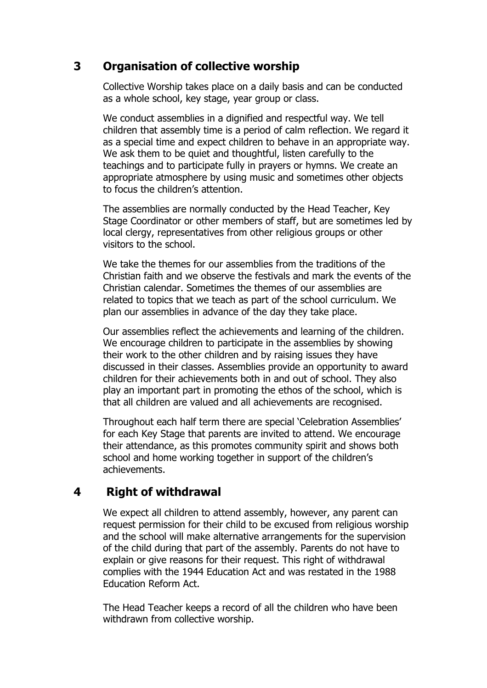## 3 Organisation of collective worship

Collective Worship takes place on a daily basis and can be conducted as a whole school, key stage, year group or class.

We conduct assemblies in a dignified and respectful way. We tell children that assembly time is a period of calm reflection. We regard it as a special time and expect children to behave in an appropriate way. We ask them to be quiet and thoughtful, listen carefully to the teachings and to participate fully in prayers or hymns. We create an appropriate atmosphere by using music and sometimes other objects to focus the children's attention.

The assemblies are normally conducted by the Head Teacher, Key Stage Coordinator or other members of staff, but are sometimes led by local clergy, representatives from other religious groups or other visitors to the school.

We take the themes for our assemblies from the traditions of the Christian faith and we observe the festivals and mark the events of the Christian calendar. Sometimes the themes of our assemblies are related to topics that we teach as part of the school curriculum. We plan our assemblies in advance of the day they take place.

Our assemblies reflect the achievements and learning of the children. We encourage children to participate in the assemblies by showing their work to the other children and by raising issues they have discussed in their classes. Assemblies provide an opportunity to award children for their achievements both in and out of school. They also play an important part in promoting the ethos of the school, which is that all children are valued and all achievements are recognised.

Throughout each half term there are special 'Celebration Assemblies' for each Key Stage that parents are invited to attend. We encourage their attendance, as this promotes community spirit and shows both school and home working together in support of the children's achievements.

### 4 Right of withdrawal

We expect all children to attend assembly, however, any parent can request permission for their child to be excused from religious worship and the school will make alternative arrangements for the supervision of the child during that part of the assembly. Parents do not have to explain or give reasons for their request. This right of withdrawal complies with the 1944 Education Act and was restated in the 1988 Education Reform Act.

The Head Teacher keeps a record of all the children who have been withdrawn from collective worship.